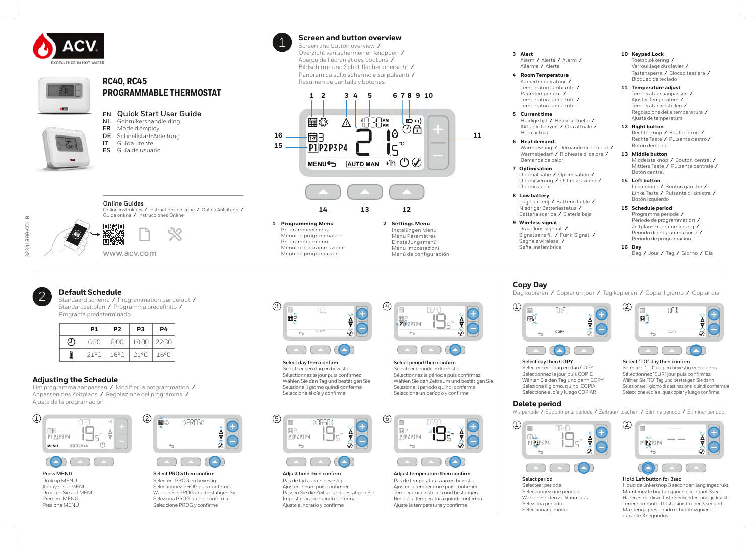



# **RC40, RC45 PROGRAMMABLE THERMOSTAT**

# **EN Quick Start User Guide**

- 
- 
- **DE** Schnellstart-Anleitung<br>**IT** Guida utente

**Online Guides**

- 
- 
- 

Online instrukties **/** Instructions en ligne **/** Online Anleitung **/**

- **NL** Gebruikershandleiding<br>**FR** Mode d'emplov **FR** Mode d'employ
- 
- **Guida** utente
- **ES** Guía de usuario



# **Screen and button overview**

Screen and button overview **/** Overzicht van schermen en knoppen **/** Aperçu de l'écran et des boutons **/** Bildschirm- und Schaltflächenübersicht **/** Panoramica sullo schermo e sui pulsanti **/** Resumen de pantalla y botones





- **1 Programming Menu** Programmeermenu Menu de programmation Programmiermenü Menu di programmazione Menú de programación
- **2 Settings Menu** Instellingen Menu Menu Paramètres Einstellungsmenü Menu Impostazioni Menú de configuración

### **3 Alert**

- Alarm **/** Alerte **/** Alarm **/** Allarme **/** Alerta
- **4 Room Temperature** Kamertemperatuur **/** Température ambiante **/** Raumtemperatur **/** Temperatura ambiente **/** Temperatura ambiente
- **5 Current time** Huidige tijd **/** Heure actuelle **/** Aktuelle Uhrzeit **/** Ora attuale **/** Hora actual
- **6 Heat demand** Warmtevraag **/** Demande de chaleur **/** Wärmebedarf **/** Richiesta di calore **/** Demanda de calor
- **7 Optimisation** Optimalisatie **/** Optimisation **/** Optimisierung **/** Ottimizzazione **/** Optimización
- **8 Low battery** Lage batterij **/** Batterie faible **/**  Niedriger Batteriestatus **/** Batteria scarica **/** Batería baja
- **9 Wireless signal** Draadloos signaal **/** Signal sans fil **/** Funk-Signal **/** Segnale wireless **/** Señal inalámbrica

### **10 Keypad Lock**

Toetsblokkering **/** Verrouillage du clavier **/** Tastensperre **/** Blocco tastiera **/** Bloqueo de teclado

**11 Temperature adjust**

Temperatuur aanpassen **/** Ajuster Température **/** Temperatur einstellen **/** Regolazione della temperatura **/** Ajuste de temperatura

**12 Right button**

Rechterknop **/** Bouton droit **/** Rechte Taste **/** Pulsante destro **/** Botón derecho

### **13 Middle button**

Middelste knop **/** Bouton central **/** Mittlere Taste **/** Pulsante centrale **/** Botón central

### **14 Left button**

Linkerknop **/** Bouton gauche **/** Linke Taste **/** Pulsante di sinistra **/** Botón izquierdo

### **15 Schedule period**

Programma periode **/** Période de programmation **/** Zeitplan-Programmierung **/** Periodo di programmazione **/** Período de programación

**16 Day**

### Dag **/** Jour **/** Tag **/** Giorno **/** Día

 $\frac{\Delta}{\nabla}$ 

# **Copy Day**

Dag kopiëren **/** Copier un jour **/** Tag kopieren **/** Copia il giorno **/** Copiar día





**Select day then COPY** Selecteer een dag en dan COPY Sélectionnez le jour puis COPIE Wählen Sie den Tag und dann COPY Seleziona il giorno, quindi COPIA Seleccione el día y luego COPIAR **Select "TO" day then confirm** Selecteer "TO" dag en bevestig vervolgens Sélectionnez "SUR" jour puis confirmez Wählen Sie "TO" Tag und bestätigen Sie dann Selezionare il giorno di destinazione, quindi confermare Seleccione el día al que copiar y luego confirme

## **Delete period**

Wis periode **/** Supprimer la période **/** Zeitraum löschen **/** Elimina periodo **/** Eliminar período



### **Select period** Selecteer periode Sélectionnez une période Wählen Sie den Zeitraum aus Seleziona periodo Seleccionar período



### **Hold Left button for 3sec**

Houd de linkerknop 3 seconden lang ingedrukt Maintenez le bouton gauche pendant 3sec Halten Sie die linke Taste 3 Sekunden lang gedrückt Tenere premuto il tasto sinistro per 3 secondi Mantenga presionado el botón izquierdo durante 3 segundos



2

Guide online **/** Instrucciones Online

**www.acv.com**

# **Default Schedule**

Standaard schema **/** Programmation par défaut **/** Standardzeitplan **/** Programma predefinito **/** Programa predeterminado

| P <sub>1</sub> | P <sub>2</sub> | P <sub>3</sub> | P4             |
|----------------|----------------|----------------|----------------|
| 6:30           | 8:00           | 18:00   22:30  |                |
| $21^{\circ}$ C | $16^{\circ}$ C | $21^{\circ}$ C | $16^{\circ}$ C |

# **Adjusting the Schedule**

Het programma aanpassen **/** Modifier la programmation **/** Anpassen des Zeitplans **/** Regolazione del programma **/** Ajuste de la programación







**Select PROG then confirm** Selecteer PROG en bevestig Sélectionnez PROG puis confirmez Wählen Sie PROG und bestätigen Sie Seleziona PROG quindi conferma Seleccione PROG y confirme



**Select day then confirm** Selecteer een dag en bevestig Sélectionnez le jour puis confirmez Wählen Sie den Tag und bestätigen Sie Seleziona il giorno quindi conferma Seleccione el día y confirme

 $(5)$ 

■

带己

 $\leftarrow$ 





**Adjust time then confirm** Pas de tijd aan en bevestig Ajuster l'heure puis confirmer Passen Sie die Zeit an und bestätigen Sie Imposta l'orario quindi conferma Ajuste el horario y confirme



Selecteer periode en bevestig Sélectionnez la période puis confirmez Wählen Sie den Zeitraum und bestätigen Sie Seleziona il periodo quindi conferma Seleccione un período y confirme





Ajuste la temperatura y confirme

**Select period then confirm**